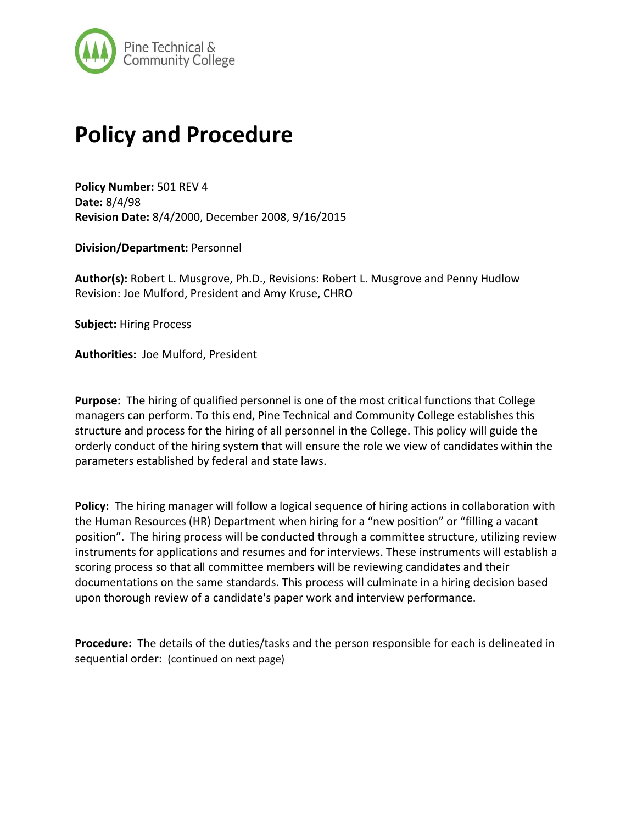

## **Policy and Procedure**

**Policy Number:** 501 REV 4 **Date:** 8/4/98 **Revision Date:** 8/4/2000, December 2008, 9/16/2015

**Division/Department:** Personnel

**Author(s):** Robert L. Musgrove, Ph.D., Revisions: Robert L. Musgrove and Penny Hudlow Revision: Joe Mulford, President and Amy Kruse, CHRO

**Subject:** Hiring Process

**Authorities:** Joe Mulford, President

**Purpose:** The hiring of qualified personnel is one of the most critical functions that College managers can perform. To this end, Pine Technical and Community College establishes this structure and process for the hiring of all personnel in the College. This policy will guide the orderly conduct of the hiring system that will ensure the role we view of candidates within the parameters established by federal and state laws.

**Policy:** The hiring manager will follow a logical sequence of hiring actions in collaboration with the Human Resources (HR) Department when hiring for a "new position" or "filling a vacant position". The hiring process will be conducted through a committee structure, utilizing review instruments for applications and resumes and for interviews. These instruments will establish a scoring process so that all committee members will be reviewing candidates and their documentations on the same standards. This process will culminate in a hiring decision based upon thorough review of a candidate's paper work and interview performance.

**Procedure:** The details of the duties/tasks and the person responsible for each is delineated in sequential order: (continued on next page)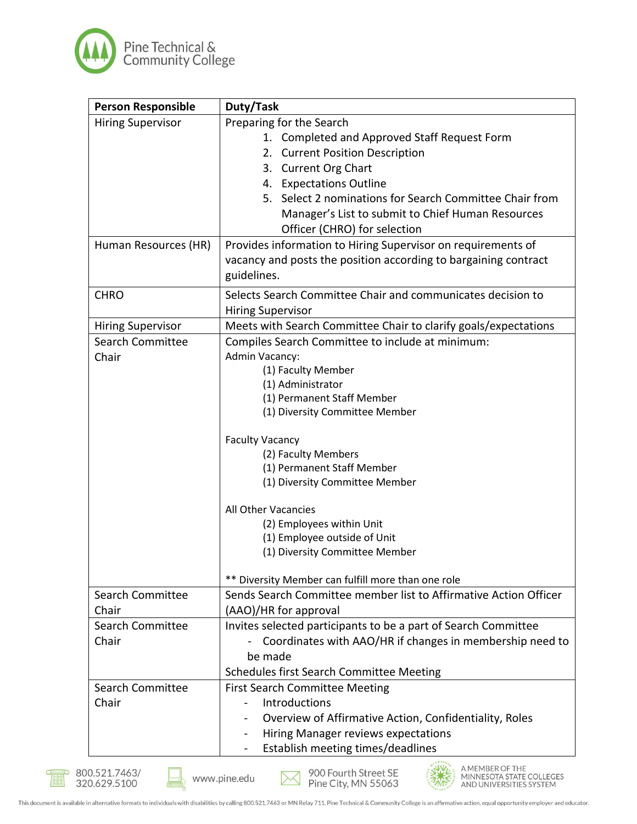

| <b>Person Responsible</b> | Duty/Task                                                        |
|---------------------------|------------------------------------------------------------------|
| <b>Hiring Supervisor</b>  | Preparing for the Search                                         |
|                           | 1. Completed and Approved Staff Request Form                     |
|                           | 2. Current Position Description                                  |
|                           | 3. Current Org Chart                                             |
|                           | 4. Expectations Outline                                          |
|                           | 5. Select 2 nominations for Search Committee Chair from          |
|                           | Manager's List to submit to Chief Human Resources                |
|                           | Officer (CHRO) for selection                                     |
| Human Resources (HR)      | Provides information to Hiring Supervisor on requirements of     |
|                           | vacancy and posts the position according to bargaining contract  |
|                           | guidelines.                                                      |
| <b>CHRO</b>               | Selects Search Committee Chair and communicates decision to      |
|                           | <b>Hiring Supervisor</b>                                         |
| <b>Hiring Supervisor</b>  | Meets with Search Committee Chair to clarify goals/expectations  |
| <b>Search Committee</b>   | Compiles Search Committee to include at minimum:                 |
| Chair                     | Admin Vacancy:                                                   |
|                           | (1) Faculty Member                                               |
|                           | (1) Administrator                                                |
|                           | (1) Permanent Staff Member                                       |
|                           | (1) Diversity Committee Member                                   |
|                           | <b>Faculty Vacancy</b>                                           |
|                           | (2) Faculty Members                                              |
|                           | (1) Permanent Staff Member                                       |
|                           | (1) Diversity Committee Member                                   |
|                           | All Other Vacancies                                              |
|                           | (2) Employees within Unit                                        |
|                           | (1) Employee outside of Unit                                     |
|                           | (1) Diversity Committee Member                                   |
|                           | ** Diversity Member can fulfill more than one role               |
| <b>Search Committee</b>   | Sends Search Committee member list to Affirmative Action Officer |
| Chair                     | (AAO)/HR for approval                                            |
| Search Committee          | Invites selected participants to be a part of Search Committee   |
| Chair                     | Coordinates with AAO/HR if changes in membership need to         |
|                           | be made                                                          |
|                           | Schedules first Search Committee Meeting                         |
| <b>Search Committee</b>   | <b>First Search Committee Meeting</b>                            |
| Chair                     | Introductions                                                    |
|                           | Overview of Affirmative Action, Confidentiality, Roles           |
|                           |                                                                  |
|                           | Hiring Manager reviews expectations                              |

888



900 Fourth Street SE<br>Pine City, MN 55063  $\boxtimes$ 

AMEMBER OF THE<br>MINNESOTA STATE COLLEGES<br>AND UNIVERSITIES SYSTEM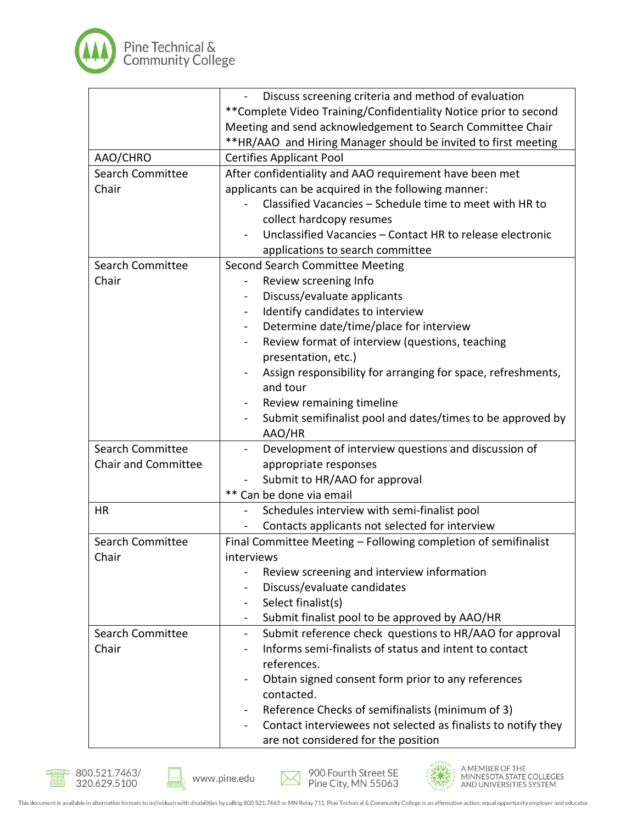

|                            | Discuss screening criteria and method of evaluation                       |
|----------------------------|---------------------------------------------------------------------------|
|                            | **Complete Video Training/Confidentiality Notice prior to second          |
|                            | Meeting and send acknowledgement to Search Committee Chair                |
|                            | **HR/AAO and Hiring Manager should be invited to first meeting            |
| AAO/CHRO                   | <b>Certifies Applicant Pool</b>                                           |
| <b>Search Committee</b>    | After confidentiality and AAO requirement have been met                   |
| Chair                      | applicants can be acquired in the following manner:                       |
|                            | Classified Vacancies - Schedule time to meet with HR to                   |
|                            | collect hardcopy resumes                                                  |
|                            | Unclassified Vacancies - Contact HR to release electronic                 |
|                            | applications to search committee                                          |
| <b>Search Committee</b>    | <b>Second Search Committee Meeting</b>                                    |
| Chair                      | Review screening Info                                                     |
|                            | Discuss/evaluate applicants                                               |
|                            | Identify candidates to interview<br>$\blacksquare$                        |
|                            | Determine date/time/place for interview<br>$\blacksquare$                 |
|                            | Review format of interview (questions, teaching<br>$\blacksquare$         |
|                            | presentation, etc.)                                                       |
|                            | Assign responsibility for arranging for space, refreshments,              |
|                            | and tour                                                                  |
|                            | Review remaining timeline                                                 |
|                            | Submit semifinalist pool and dates/times to be approved by                |
|                            | AAO/HR                                                                    |
| <b>Search Committee</b>    | Development of interview questions and discussion of<br>$\blacksquare$    |
| <b>Chair and Committee</b> | appropriate responses                                                     |
|                            | Submit to HR/AAO for approval                                             |
|                            | ** Can be done via email                                                  |
| HR                         | Schedules interview with semi-finalist pool                               |
|                            | Contacts applicants not selected for interview                            |
| <b>Search Committee</b>    | Final Committee Meeting - Following completion of semifinalist            |
| Chair                      | interviews                                                                |
|                            | Review screening and interview information                                |
|                            | Discuss/evaluate candidates                                               |
|                            | Select finalist(s)                                                        |
|                            | Submit finalist pool to be approved by AAO/HR<br>$\blacksquare$           |
| <b>Search Committee</b>    | Submit reference check questions to HR/AAO for approval<br>$\blacksquare$ |
| Chair                      | Informs semi-finalists of status and intent to contact                    |
|                            | references.                                                               |
|                            | Obtain signed consent form prior to any references                        |
|                            | contacted.                                                                |
|                            | Reference Checks of semifinalists (minimum of 3)                          |
|                            | Contact interviewees not selected as finalists to notify they             |
|                            | are not considered for the position                                       |





900 Fourth Street SE  $\times$ Pine City, MN 55063



A MEMBER OF THE<br>MINNESOTA STATE COLLEGES<br>AND UNIVERSITIES SYSTEM